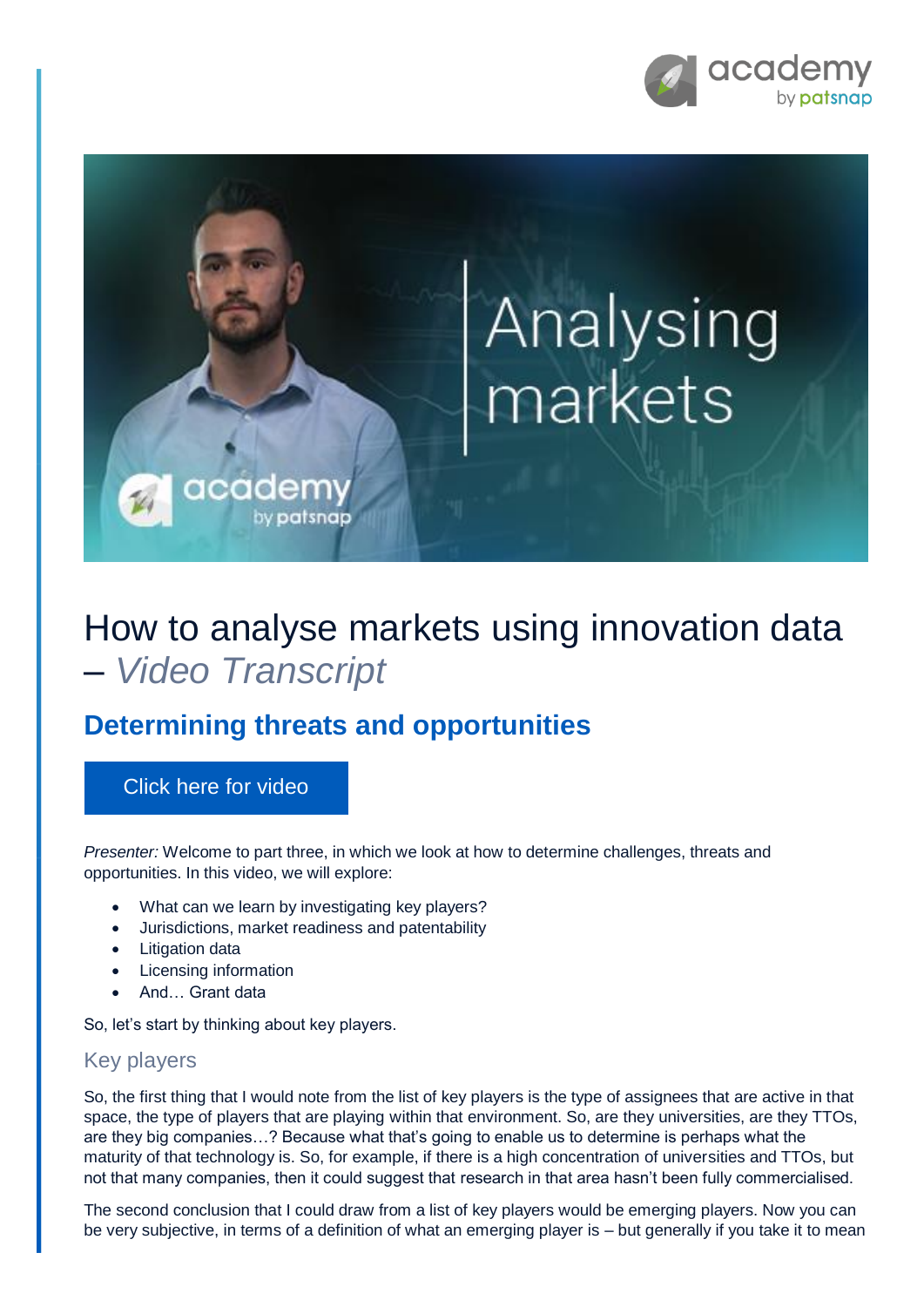

# Analysing<br>markets

## How to analyse markets using innovation data – *Video Transcript*

### **Determining threats and opportunities**

#### [Click here for video](https://academy.patsnap.com/courses/5d2c741efd3f8874f6cf0bf9/units/5d2c7446fd3f8874f6cf0bfa#module-2)

*Presenter:* Welcome to part three, in which we look at how to determine challenges, threats and opportunities. In this video, we will explore:

• What can we learn by investigating key players?

cadem

by patsnap

- Jurisdictions, market readiness and patentability
- Litigation data
- Licensing information
- And… Grant data

So, let's start by thinking about key players.

#### Key players

So, the first thing that I would note from the list of key players is the type of assignees that are active in that space, the type of players that are playing within that environment. So, are they universities, are they TTOs, are they big companies…? Because what that's going to enable us to determine is perhaps what the maturity of that technology is. So, for example, if there is a high concentration of universities and TTOs, but not that many companies, then it could suggest that research in that area hasn't been fully commercialised.

The second conclusion that I could draw from a list of key players would be emerging players. Now you can be very subjective, in terms of a definition of what an emerging player is – but generally if you take it to mean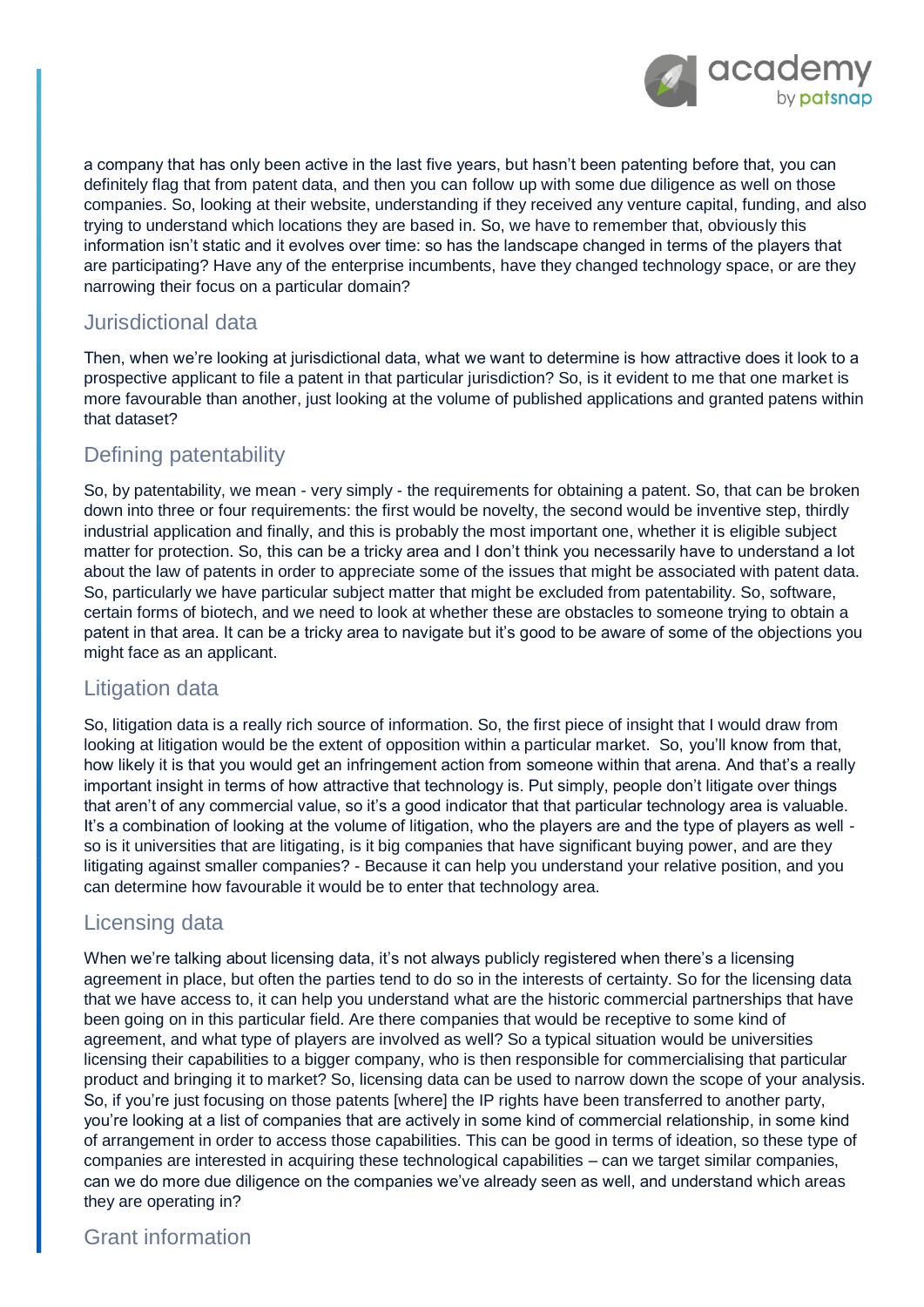

a company that has only been active in the last five years, but hasn't been patenting before that, you can definitely flag that from patent data, and then you can follow up with some due diligence as well on those companies. So, looking at their website, understanding if they received any venture capital, funding, and also trying to understand which locations they are based in. So, we have to remember that, obviously this information isn't static and it evolves over time: so has the landscape changed in terms of the players that are participating? Have any of the enterprise incumbents, have they changed technology space, or are they narrowing their focus on a particular domain?

#### Jurisdictional data

Then, when we're looking at jurisdictional data, what we want to determine is how attractive does it look to a prospective applicant to file a patent in that particular jurisdiction? So, is it evident to me that one market is more favourable than another, just looking at the volume of published applications and granted patens within that dataset?

#### Defining patentability

So, by patentability, we mean - very simply - the requirements for obtaining a patent. So, that can be broken down into three or four requirements: the first would be novelty, the second would be inventive step, thirdly industrial application and finally, and this is probably the most important one, whether it is eligible subject matter for protection. So, this can be a tricky area and I don't think you necessarily have to understand a lot about the law of patents in order to appreciate some of the issues that might be associated with patent data. So, particularly we have particular subject matter that might be excluded from patentability. So, software, certain forms of biotech, and we need to look at whether these are obstacles to someone trying to obtain a patent in that area. It can be a tricky area to navigate but it's good to be aware of some of the objections you might face as an applicant.

#### Litigation data

So, litigation data is a really rich source of information. So, the first piece of insight that I would draw from looking at litigation would be the extent of opposition within a particular market. So, you'll know from that, how likely it is that you would get an infringement action from someone within that arena. And that's a really important insight in terms of how attractive that technology is. Put simply, people don't litigate over things that aren't of any commercial value, so it's a good indicator that that particular technology area is valuable. It's a combination of looking at the volume of litigation, who the players are and the type of players as well so is it universities that are litigating, is it big companies that have significant buying power, and are they litigating against smaller companies? - Because it can help you understand your relative position, and you can determine how favourable it would be to enter that technology area.

#### Licensing data

When we're talking about licensing data, it's not always publicly registered when there's a licensing agreement in place, but often the parties tend to do so in the interests of certainty. So for the licensing data that we have access to, it can help you understand what are the historic commercial partnerships that have been going on in this particular field. Are there companies that would be receptive to some kind of agreement, and what type of players are involved as well? So a typical situation would be universities licensing their capabilities to a bigger company, who is then responsible for commercialising that particular product and bringing it to market? So, licensing data can be used to narrow down the scope of your analysis. So, if you're just focusing on those patents [where] the IP rights have been transferred to another party, you're looking at a list of companies that are actively in some kind of commercial relationship, in some kind of arrangement in order to access those capabilities. This can be good in terms of ideation, so these type of companies are interested in acquiring these technological capabilities – can we target similar companies, can we do more due diligence on the companies we've already seen as well, and understand which areas they are operating in?

#### Grant information